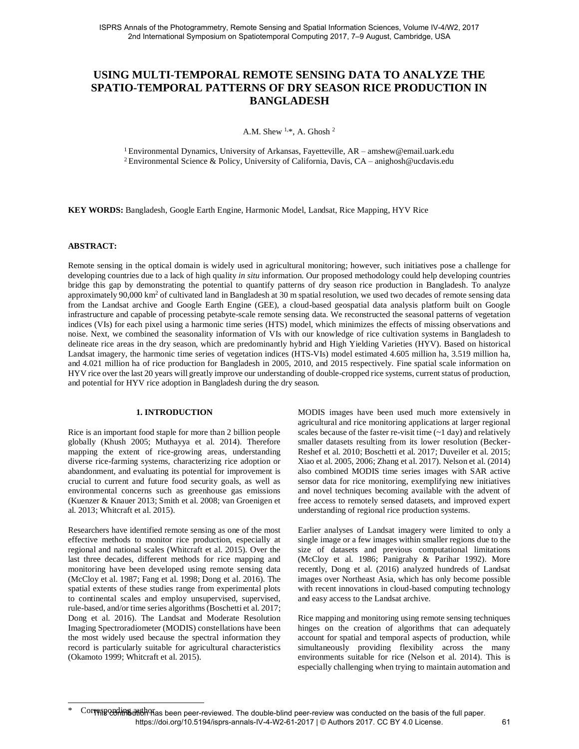# **USING MULTI-TEMPORAL REMOTE SENSING DATA TO ANALYZE THE SPATIO-TEMPORAL PATTERNS OF DRY SEASON RICE PRODUCTION IN BANGLADESH**

A.M. Shew  $1, *$ , A. Ghosh  $2$ 

<sup>1</sup>Environmental Dynamics, University of Arkansas, Fayetteville, AR – amshew@email.uark.edu <sup>2</sup> Environmental Science & Policy, University of California, Davis, CA – anighosh@ucdavis.edu

**KEY WORDS:** Bangladesh, Google Earth Engine, Harmonic Model, Landsat, Rice Mapping, HYV Rice

# **ABSTRACT:**

Remote sensing in the optical domain is widely used in agricultural monitoring; however, such initiatives pose a challenge for developing countries due to a lack of high quality *in situ* information. Our proposed methodology could help developing countries bridge this gap by demonstrating the potential to quantify patterns of dry season rice production in Bangladesh. To analyze approximately 90,000 km<sup>2</sup> of cultivated land in Bangladesh at 30 m spatial resolution, we used two decades of remote sensing data from the Landsat archive and Google Earth Engine (GEE), a cloud-based geospatial data analysis platform built on Google infrastructure and capable of processing petabyte-scale remote sensing data. We reconstructed the seasonal patterns of vegetation indices (VIs) for each pixel using a harmonic time series (HTS) model, which minimizes the effects of missing observations and noise. Next, we combined the seasonality information of VIs with our knowledge of rice cultivation systems in Bangladesh to delineate rice areas in the dry season, which are predominantly hybrid and High Yielding Varieties (HYV). Based on historical Landsat imagery, the harmonic time series of vegetation indices (HTS-VIs) model estimated 4.605 million ha, 3.519 million ha, and 4.021 million ha of rice production for Bangladesh in 2005, 2010, and 2015 respectively. Fine spatial scale information on HYV rice over the last 20 years will greatly improve our understanding of double-cropped rice systems, current status of production, and potential for HYV rice adoption in Bangladesh during the dry season.

# **1. INTRODUCTION**

Rice is an important food staple for more than 2 billion people globally (Khush 2005; Muthayya et al. 2014). Therefore mapping the extent of rice-growing areas, understanding diverse rice-farming systems, characterizing rice adoption or abandonment, and evaluating its potential for improvement is crucial to current and future food security goals, as well as environmental concerns such as greenhouse gas emissions (Kuenzer & Knauer 2013; Smith et al. 2008; van Groenigen et al. 2013; Whitcraft et al. 2015).

Researchers have identified remote sensing as one of the most effective methods to monitor rice production, especially at regional and national scales (Whitcraft et al. 2015). Over the last three decades, different methods for rice mapping and monitoring have been developed using remote sensing data (McCloy et al. 1987; Fang et al. 1998; Dong et al. 2016). The spatial extents of these studies range from experimental plots to continental scales and employ unsupervised, supervised, rule-based, and/or time series algorithms (Boschetti et al. 2017; Dong et al. 2016). The Landsat and Moderate Resolution Imaging Spectroradiometer (MODIS) constellations have been the most widely used because the spectral information they record is particularly suitable for agricultural characteristics (Okamoto 1999; Whitcraft et al. 2015).

MODIS images have been used much more extensively in agricultural and rice monitoring applications at larger regional scales because of the faster re-visit time (~1 day) and relatively smaller datasets resulting from its lower resolution (Becker-Reshef et al. 2010; Boschetti et al. 2017; Duveiler et al. 2015; Xiao et al. 2005, 2006; Zhang et al. 2017). Nelson et al. (2014) also combined MODIS time series images with SAR active sensor data for rice monitoring, exemplifying new initiatives and novel techniques becoming available with the advent of free access to remotely sensed datasets, and improved expert understanding of regional rice production systems.

Earlier analyses of Landsat imagery were limited to only a single image or a few images within smaller regions due to the size of datasets and previous computational limitations (McCloy et al. 1986; Panigrahy & Parihar 1992). More recently, Dong et al. (2016) analyzed hundreds of Landsat images over Northeast Asia, which has only become possible with recent innovations in cloud-based computing technology and easy access to the Landsat archive.

Rice mapping and monitoring using remote sensing techniques hinges on the creation of algorithms that can adequately account for spatial and temporal aspects of production, while simultaneously providing flexibility across the many environments suitable for rice (Nelson et al. 2014). This is especially challenging when trying to maintain automation and

<sup>\*</sup> Corresponding anting and peer-reviewed. The double-blind peer-review was conducted on the basis of the full paper. https://doi.org/10.5194/isprs-annals-IV-4-W2-61-2017 | © Authors 2017. CC BY 4.0 License. 61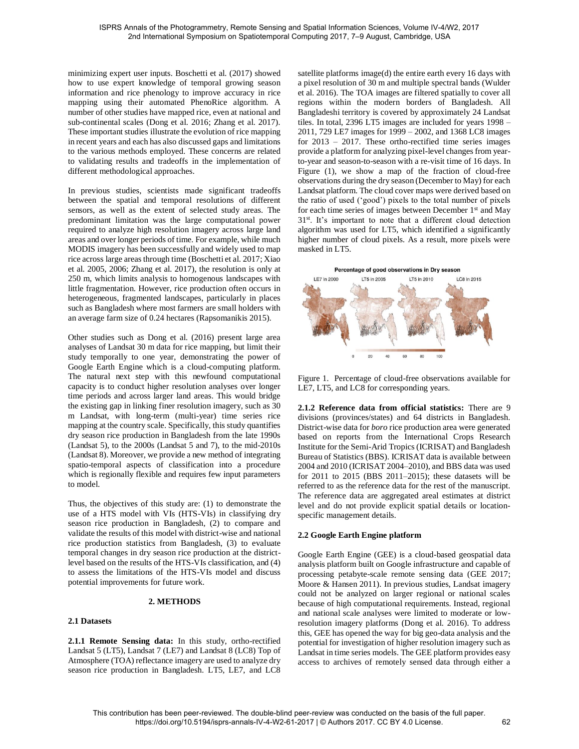minimizing expert user inputs. Boschetti et al. (2017) showed how to use expert knowledge of temporal growing season information and rice phenology to improve accuracy in rice mapping using their automated PhenoRice algorithm. A number of other studies have mapped rice, even at national and sub-continental scales (Dong et al. 2016; Zhang et al. 2017). These important studies illustrate the evolution of rice mapping in recent years and each has also discussed gaps and limitations to the various methods employed. These concerns are related to validating results and tradeoffs in the implementation of different methodological approaches.

In previous studies, scientists made significant tradeoffs between the spatial and temporal resolutions of different sensors, as well as the extent of selected study areas. The predominant limitation was the large computational power required to analyze high resolution imagery across large land areas and over longer periods of time. For example, while much MODIS imagery has been successfully and widely used to map rice across large areas through time (Boschetti et al. 2017; Xiao et al. 2005, 2006; Zhang et al. 2017), the resolution is only at 250 m, which limits analysis to homogenous landscapes with little fragmentation. However, rice production often occurs in heterogeneous, fragmented landscapes, particularly in places such as Bangladesh where most farmers are small holders with an average farm size of 0.24 hectares (Rapsomanikis 2015).

Other studies such as Dong et al. (2016) present large area analyses of Landsat 30 m data for rice mapping, but limit their study temporally to one year, demonstrating the power of Google Earth Engine which is a cloud-computing platform. The natural next step with this newfound computational capacity is to conduct higher resolution analyses over longer time periods and across larger land areas. This would bridge the existing gap in linking finer resolution imagery, such as 30 m Landsat, with long-term (multi-year) time series rice mapping at the country scale. Specifically, this study quantifies dry season rice production in Bangladesh from the late 1990s (Landsat 5), to the 2000s (Landsat 5 and 7), to the mid-2010s (Landsat 8). Moreover, we provide a new method of integrating spatio-temporal aspects of classification into a procedure which is regionally flexible and requires few input parameters to model.

Thus, the objectives of this study are: (1) to demonstrate the use of a HTS model with VIs (HTS-VIs) in classifying dry season rice production in Bangladesh, (2) to compare and validate the results of this model with district-wise and national rice production statistics from Bangladesh, (3) to evaluate temporal changes in dry season rice production at the districtlevel based on the results of the HTS-VIs classification, and (4) to assess the limitations of the HTS-VIs model and discuss potential improvements for future work.

# **2. METHODS**

# **2.1 Datasets**

**2.1.1 Remote Sensing data:** In this study, ortho-rectified Landsat 5 (LT5), Landsat 7 (LE7) and Landsat 8 (LC8) Top of Atmosphere (TOA) reflectance imagery are used to analyze dry season rice production in Bangladesh. LT5, LE7, and LC8

satellite platforms image(d) the entire earth every 16 days with a pixel resolution of 30 m and multiple spectral bands (Wulder et al. 2016). The TOA images are filtered spatially to cover all regions within the modern borders of Bangladesh. All Bangladeshi territory is covered by approximately 24 Landsat tiles. In total, 2396 LT5 images are included for years 1998 – 2011, 729 LE7 images for 1999 – 2002, and 1368 LC8 images for 2013 – 2017. These ortho-rectified time series images provide a platform for analyzing pixel-level changes from yearto-year and season-to-season with a re-visit time of 16 days. In Figure (1), we show a map of the fraction of cloud-free observations during the dry season (December to May) for each Landsat platform. The cloud cover maps were derived based on the ratio of used ('good') pixels to the total number of pixels for each time series of images between December 1<sup>st</sup> and May 31st. It's important to note that a different cloud detection algorithm was used for LT5, which identified a significantly higher number of cloud pixels. As a result, more pixels were masked in LT5.



Figure 1. Percentage of cloud-free observations available for LE7, LT5, and LC8 for corresponding years.

**2.1.2 Reference data from official statistics:** There are 9 divisions (provinces/states) and 64 districts in Bangladesh. District-wise data for *boro* rice production area were generated based on reports from the International Crops Research Institute for the Semi-Arid Tropics (ICRISAT) and Bangladesh Bureau of Statistics (BBS). ICRISAT data is available between 2004 and 2010 (ICRISAT 2004–2010), and BBS data was used for 2011 to 2015 (BBS 2011–2015); these datasets will be referred to as the reference data for the rest of the manuscript. The reference data are aggregated areal estimates at district level and do not provide explicit spatial details or locationspecific management details.

# **2.2 Google Earth Engine platform**

Google Earth Engine (GEE) is a cloud-based geospatial data analysis platform built on Google infrastructure and capable of processing petabyte-scale remote sensing data (GEE 2017; Moore & Hansen 2011). In previous studies, Landsat imagery could not be analyzed on larger regional or national scales because of high computational requirements. Instead, regional and national scale analyses were limited to moderate or lowresolution imagery platforms (Dong et al. 2016). To address this, GEE has opened the way for big geo-data analysis and the potential for investigation of higher resolution imagery such as Landsat in time series models. The GEE platform provides easy access to archives of remotely sensed data through either a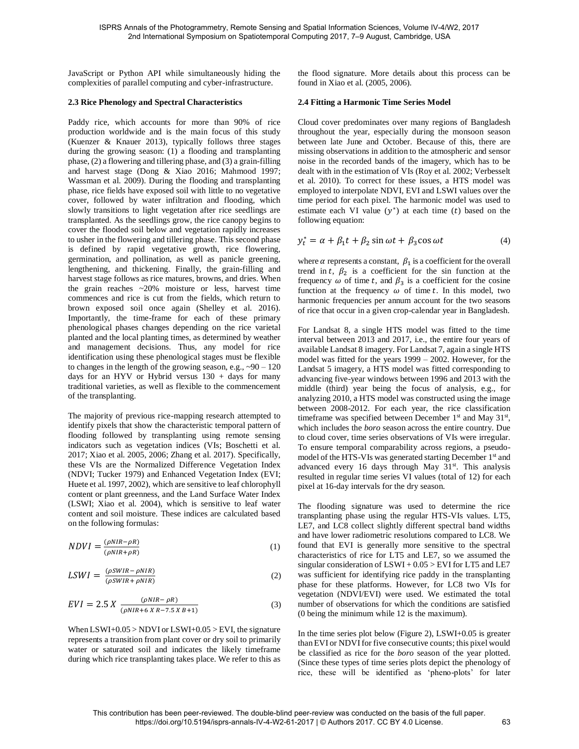JavaScript or Python API while simultaneously hiding the complexities of parallel computing and cyber-infrastructure.

# **2.3 Rice Phenology and Spectral Characteristics**

Paddy rice, which accounts for more than 90% of rice production worldwide and is the main focus of this study (Kuenzer & Knauer 2013), typically follows three stages during the growing season: (1) a flooding and transplanting phase, (2) a flowering and tillering phase, and (3) a grain-filling and harvest stage (Dong & Xiao 2016; Mahmood 1997; Wassman et al. 2009). During the flooding and transplanting phase, rice fields have exposed soil with little to no vegetative cover, followed by water infiltration and flooding, which slowly transitions to light vegetation after rice seedlings are transplanted. As the seedlings grow, the rice canopy begins to cover the flooded soil below and vegetation rapidly increases to usher in the flowering and tillering phase. This second phase is defined by rapid vegetative growth, rice flowering, germination, and pollination, as well as panicle greening, lengthening, and thickening. Finally, the grain-filling and harvest stage follows as rice matures, browns, and dries. When the grain reaches  $\sim$ 20% moisture or less, harvest time commences and rice is cut from the fields, which return to brown exposed soil once again (Shelley et al. 2016). Importantly, the time-frame for each of these primary phenological phases changes depending on the rice varietal planted and the local planting times, as determined by weather and management decisions. Thus, any model for rice identification using these phenological stages must be flexible to changes in the length of the growing season, e.g.,  $\sim 90 - 120$ days for an HYV or Hybrid versus  $130 + days$  for many traditional varieties, as well as flexible to the commencement of the transplanting.

The majority of previous rice-mapping research attempted to identify pixels that show the characteristic temporal pattern of flooding followed by transplanting using remote sensing indicators such as vegetation indices (VIs; Boschetti et al. 2017; Xiao et al. 2005, 2006; Zhang et al. 2017). Specifically, these VIs are the Normalized Difference Vegetation Index (NDVI; Tucker 1979) and Enhanced Vegetation Index (EVI; Huete et al. 1997, 2002), which are sensitive to leaf chlorophyll content or plant greenness, and the Land Surface Water Index (LSWI; Xiao et al. 2004), which is sensitive to leaf water content and soil moisture. These indices are calculated based on the following formulas:

$$
NDVI = \frac{(\rho NIR - \rho R)}{(\rho NIR + \rho R)}\tag{1}
$$

$$
LSWI = \frac{(\rho SWIR - \rho NIR)}{(\rho SWIR + \rho NIR)}\tag{2}
$$

$$
EVI = 2.5 X \frac{(\rho NIR - \rho R)}{(\rho NIR + 6 X R - 7.5 X B + 1)}
$$
(3)

When  $LSWI+0.05 > NDVI$  or  $LSWI+0.05 > EVI$ , the signature represents a transition from plant cover or dry soil to primarily water or saturated soil and indicates the likely timeframe during which rice transplanting takes place. We refer to this as the flood signature. More details about this process can be found in Xiao et al. (2005, 2006).

#### **2.4 Fitting a Harmonic Time Series Model**

Cloud cover predominates over many regions of Bangladesh throughout the year, especially during the monsoon season between late June and October. Because of this, there are missing observations in addition to the atmospheric and sensor noise in the recorded bands of the imagery, which has to be dealt with in the estimation of VIs (Roy et al. 2002; Verbesselt et al. 2010). To correct for these issues, a HTS model was employed to interpolate NDVI, EVI and LSWI values over the time period for each pixel. The harmonic model was used to estimate each VI value  $(y^*)$  at each time  $(t)$  based on the following equation:

$$
y_t^* = \alpha + \beta_1 t + \beta_2 \sin \omega t + \beta_3 \cos \omega t \tag{4}
$$

where  $\alpha$  represents a constant,  $\beta_1$  is a coefficient for the overall trend in t,  $\beta_2$  is a coefficient for the sin function at the frequency  $\omega$  of time t, and  $\beta_3$  is a coefficient for the cosine function at the frequency  $\omega$  of time t. In this model, two harmonic frequencies per annum account for the two seasons of rice that occur in a given crop-calendar year in Bangladesh.

For Landsat 8, a single HTS model was fitted to the time interval between 2013 and 2017, i.e., the entire four years of available Landsat 8 imagery. For Landsat 7, again a single HTS model was fitted for the years 1999 – 2002. However, for the Landsat 5 imagery, a HTS model was fitted corresponding to advancing five-year windows between 1996 and 2013 with the middle (third) year being the focus of analysis, e.g., for analyzing 2010, a HTS model was constructed using the image between 2008-2012. For each year, the rice classification timeframe was specified between December 1<sup>st</sup> and May 31<sup>st</sup>, which includes the *boro* season across the entire country. Due to cloud cover, time series observations of VIs were irregular. To ensure temporal comparability across regions, a pseudomodel of the HTS-VIs was generated starting December 1<sup>st</sup> and advanced every 16 days through May  $31<sup>st</sup>$ . This analysis resulted in regular time series VI values (total of 12) for each pixel at 16-day intervals for the dry season.

The flooding signature was used to determine the rice transplanting phase using the regular HTS-VIs values. LT5, LE7, and LC8 collect slightly different spectral band widths and have lower radiometric resolutions compared to LC8. We found that EVI is generally more sensitive to the spectral characteristics of rice for LT5 and LE7, so we assumed the singular consideration of  $LSWI + 0.05 > EVI$  for LT5 and LE7 was sufficient for identifying rice paddy in the transplanting phase for these platforms. However, for LC8 two VIs for vegetation (NDVI/EVI) were used. We estimated the total number of observations for which the conditions are satisfied (0 being the minimum while 12 is the maximum).

In the time series plot below (Figure 2), LSWI+0.05 is greater than EVI or NDVI for five consecutive counts; this pixel would be classified as rice for the *boro* season of the year plotted. (Since these types of time series plots depict the phenology of rice, these will be identified as 'pheno-plots' for later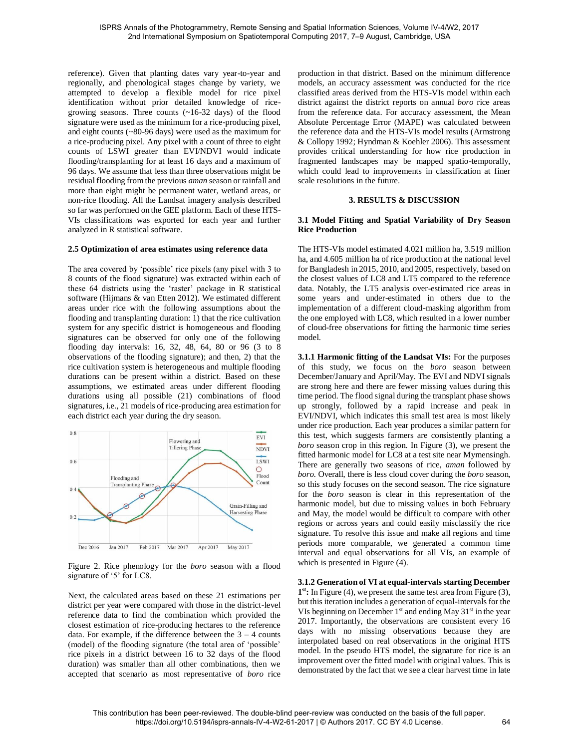reference). Given that planting dates vary year-to-year and regionally, and phenological stages change by variety, we attempted to develop a flexible model for rice pixel identification without prior detailed knowledge of ricegrowing seasons. Three counts  $(\sim 16-32 \text{ days})$  of the flood signature were used as the minimum for a rice-producing pixel, and eight counts (~80-96 days) were used as the maximum for a rice-producing pixel. Any pixel with a count of three to eight counts of LSWI greater than EVI/NDVI would indicate flooding/transplanting for at least 16 days and a maximum of 96 days. We assume that less than three observations might be residual flooding from the previous *aman* season or rainfall and more than eight might be permanent water, wetland areas, or non-rice flooding. All the Landsat imagery analysis described so far was performed on the GEE platform. Each of these HTS-VIs classifications was exported for each year and further analyzed in R statistical software.

#### **2.5 Optimization of area estimates using reference data**

The area covered by 'possible' rice pixels (any pixel with 3 to 8 counts of the flood signature) was extracted within each of these 64 districts using the 'raster' package in R statistical software (Hijmans & van Etten 2012). We estimated different areas under rice with the following assumptions about the flooding and transplanting duration: 1) that the rice cultivation system for any specific district is homogeneous and flooding signatures can be observed for only one of the following flooding day intervals: 16, 32, 48, 64, 80 or 96 (3 to 8 observations of the flooding signature); and then, 2) that the rice cultivation system is heterogeneous and multiple flooding durations can be present within a district. Based on these assumptions, we estimated areas under different flooding durations using all possible (21) combinations of flood signatures, i.e., 21 models of rice-producing area estimation for each district each year during the dry season.



Figure 2. Rice phenology for the *boro* season with a flood signature of '5' for LC8.

Next, the calculated areas based on these 21 estimations per district per year were compared with those in the district-level reference data to find the combination which provided the closest estimation of rice-producing hectares to the reference data. For example, if the difference between the  $3 - 4$  counts (model) of the flooding signature (the total area of 'possible' rice pixels in a district between 16 to 32 days of the flood duration) was smaller than all other combinations, then we accepted that scenario as most representative of *boro* rice

production in that district. Based on the minimum difference models, an accuracy assessment was conducted for the rice classified areas derived from the HTS-VIs model within each district against the district reports on annual *boro* rice areas from the reference data. For accuracy assessment, the Mean Absolute Percentage Error (MAPE) was calculated between the reference data and the HTS-VIs model results (Armstrong & Collopy 1992; Hyndman & Koehler 2006). This assessment provides critical understanding for how rice production in fragmented landscapes may be mapped spatio-temporally, which could lead to improvements in classification at finer scale resolutions in the future.

#### **3. RESULTS & DISCUSSION**

# **3.1 Model Fitting and Spatial Variability of Dry Season Rice Production**

The HTS-VIs model estimated 4.021 million ha, 3.519 million ha, and 4.605 million ha of rice production at the national level for Bangladesh in 2015, 2010, and 2005, respectively, based on the closest values of LC8 and LT5 compared to the reference data. Notably, the LT5 analysis over-estimated rice areas in some years and under-estimated in others due to the implementation of a different cloud-masking algorithm from the one employed with LC8, which resulted in a lower number of cloud-free observations for fitting the harmonic time series model.

**3.1.1 Harmonic fitting of the Landsat VIs:** For the purposes of this study, we focus on the *boro* season between December/January and April/May. The EVI and NDVI signals are strong here and there are fewer missing values during this time period. The flood signal during the transplant phase shows up strongly, followed by a rapid increase and peak in EVI/NDVI, which indicates this small test area is most likely under rice production. Each year produces a similar pattern for this test, which suggests farmers are consistently planting a *boro* season crop in this region. In Figure (3), we present the fitted harmonic model for LC8 at a test site near Mymensingh. There are generally two seasons of rice, *aman* followed by *boro.* Overall, there is less cloud cover during the *boro* season, so this study focuses on the second season. The rice signature for the *boro* season is clear in this representation of the harmonic model, but due to missing values in both February and May, the model would be difficult to compare with other regions or across years and could easily misclassify the rice signature. To resolve this issue and make all regions and time periods more comparable, we generated a common time interval and equal observations for all VIs, an example of which is presented in Figure (4).

#### **3.1.2 Generation of VI at equal-intervals starting December**

**1 st:** In Figure (4), we present the same test area from Figure (3), but this iteration includes a generation of equal-intervals for the VIs beginning on December  $1<sup>st</sup>$  and ending May  $31<sup>st</sup>$  in the year 2017. Importantly, the observations are consistent every 16 days with no missing observations because they are interpolated based on real observations in the original HTS model. In the pseudo HTS model, the signature for rice is an improvement over the fitted model with original values. This is demonstrated by the fact that we see a clear harvest time in late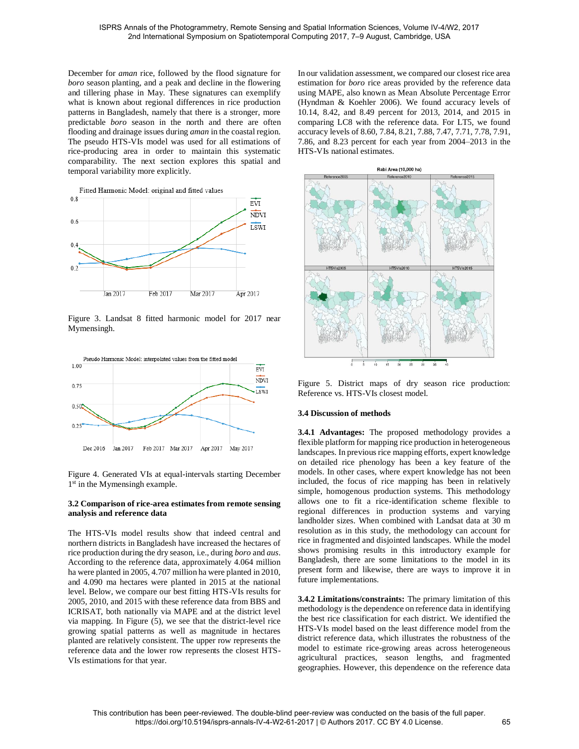December for *aman* rice, followed by the flood signature for *boro* season planting, and a peak and decline in the flowering and tillering phase in May. These signatures can exemplify what is known about regional differences in rice production patterns in Bangladesh, namely that there is a stronger, more predictable *boro* season in the north and there are often flooding and drainage issues during *aman* in the coastal region. The pseudo HTS-VIs model was used for all estimations of rice-producing area in order to maintain this systematic comparability. The next section explores this spatial and temporal variability more explicitly.



Figure 3. Landsat 8 fitted harmonic model for 2017 near Mymensingh.



Figure 4. Generated VIs at equal-intervals starting December 1<sup>st</sup> in the Mymensingh example.

# **3.2 Comparison of rice-area estimates from remote sensing analysis and reference data**

The HTS-VIs model results show that indeed central and northern districts in Bangladesh have increased the hectares of rice production during the dry season, i.e., during *boro* and *aus*. According to the reference data, approximately 4.064 million ha were planted in 2005, 4.707 million ha were planted in 2010, and 4.090 ma hectares were planted in 2015 at the national level. Below, we compare our best fitting HTS-VIs results for 2005, 2010, and 2015 with these reference data from BBS and ICRISAT, both nationally via MAPE and at the district level via mapping. In Figure (5), we see that the district-level rice growing spatial patterns as well as magnitude in hectares planted are relatively consistent. The upper row represents the reference data and the lower row represents the closest HTS-VIs estimations for that year.

In our validation assessment, we compared our closest rice area estimation for *boro* rice areas provided by the reference data using MAPE, also known as Mean Absolute Percentage Error (Hyndman & Koehler 2006). We found accuracy levels of 10.14, 8.42, and 8.49 percent for 2013, 2014, and 2015 in comparing LC8 with the reference data. For LT5, we found accuracy levels of 8.60, 7.84, 8.21, 7.88, 7.47, 7.71, 7.78, 7.91, 7.86, and 8.23 percent for each year from 2004–2013 in the HTS-VIs national estimates.



Figure 5. District maps of dry season rice production: Reference vs. HTS-VIs closest model.

# **3.4 Discussion of methods**

**3.4.1 Advantages:** The proposed methodology provides a flexible platform for mapping rice production in heterogeneous landscapes. In previous rice mapping efforts, expert knowledge on detailed rice phenology has been a key feature of the models. In other cases, where expert knowledge has not been included, the focus of rice mapping has been in relatively simple, homogenous production systems. This methodology allows one to fit a rice-identification scheme flexible to regional differences in production systems and varying landholder sizes. When combined with Landsat data at 30 m resolution as in this study, the methodology can account for rice in fragmented and disjointed landscapes. While the model shows promising results in this introductory example for Bangladesh, there are some limitations to the model in its present form and likewise, there are ways to improve it in future implementations.

**3.4.2 Limitations/constraints:** The primary limitation of this methodology is the dependence on reference data in identifying the best rice classification for each district. We identified the HTS-VIs model based on the least difference model from the district reference data, which illustrates the robustness of the model to estimate rice-growing areas across heterogeneous agricultural practices, season lengths, and fragmented geographies. However, this dependence on the reference data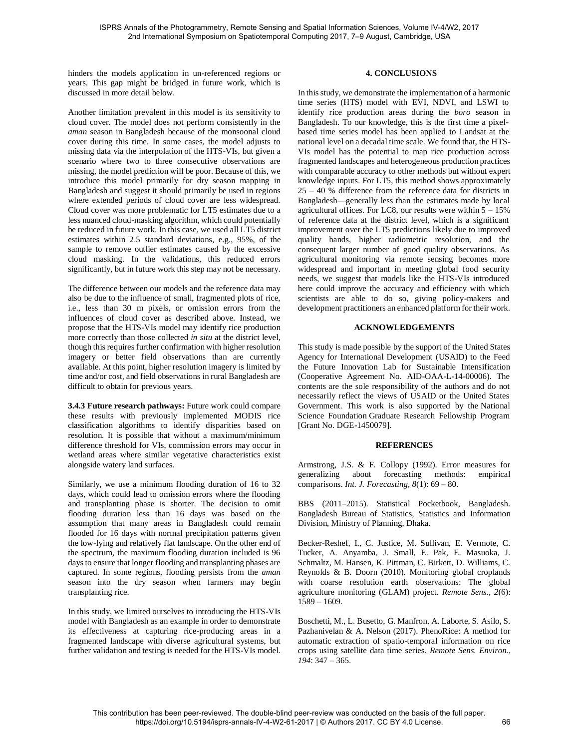hinders the models application in un-referenced regions or years. This gap might be bridged in future work, which is discussed in more detail below.

Another limitation prevalent in this model is its sensitivity to cloud cover. The model does not perform consistently in the *aman* season in Bangladesh because of the monsoonal cloud cover during this time. In some cases, the model adjusts to missing data via the interpolation of the HTS-VIs, but given a scenario where two to three consecutive observations are missing, the model prediction will be poor. Because of this, we introduce this model primarily for dry season mapping in Bangladesh and suggest it should primarily be used in regions where extended periods of cloud cover are less widespread. Cloud cover was more problematic for LT5 estimates due to a less nuanced cloud-masking algorithm, which could potentially be reduced in future work. In this case, we used all LT5 district estimates within 2.5 standard deviations, e.g., 95%, of the sample to remove outlier estimates caused by the excessive cloud masking. In the validations, this reduced errors significantly, but in future work this step may not be necessary.

The difference between our models and the reference data may also be due to the influence of small, fragmented plots of rice, i.e., less than 30 m pixels, or omission errors from the influences of cloud cover as described above. Instead, we propose that the HTS-VIs model may identify rice production more correctly than those collected *in situ* at the district level, though this requires further confirmation with higher resolution imagery or better field observations than are currently available. At this point, higher resolution imagery is limited by time and/or cost, and field observations in rural Bangladesh are difficult to obtain for previous years.

**3.4.3 Future research pathways:** Future work could compare these results with previously implemented MODIS rice classification algorithms to identify disparities based on resolution. It is possible that without a maximum/minimum difference threshold for VIs, commission errors may occur in wetland areas where similar vegetative characteristics exist alongside watery land surfaces.

Similarly, we use a minimum flooding duration of 16 to 32 days, which could lead to omission errors where the flooding and transplanting phase is shorter. The decision to omit flooding duration less than 16 days was based on the assumption that many areas in Bangladesh could remain flooded for 16 days with normal precipitation patterns given the low-lying and relatively flat landscape. On the other end of the spectrum, the maximum flooding duration included is 96 days to ensure that longer flooding and transplanting phases are captured. In some regions, flooding persists from the *aman* season into the dry season when farmers may begin transplanting rice.

In this study, we limited ourselves to introducing the HTS-VIs model with Bangladesh as an example in order to demonstrate its effectiveness at capturing rice-producing areas in a fragmented landscape with diverse agricultural systems, but further validation and testing is needed for the HTS-VIs model.

# **4. CONCLUSIONS**

In this study, we demonstrate the implementation of a harmonic time series (HTS) model with EVI, NDVI, and LSWI to identify rice production areas during the *boro* season in Bangladesh. To our knowledge, this is the first time a pixelbased time series model has been applied to Landsat at the national level on a decadal time scale. We found that, the HTS-VIs model has the potential to map rice production across fragmented landscapes and heterogeneous production practices with comparable accuracy to other methods but without expert knowledge inputs. For LT5, this method shows approximately 25 – 40 % difference from the reference data for districts in Bangladesh—generally less than the estimates made by local agricultural offices. For LC8, our results were within  $5 - 15\%$ of reference data at the district level, which is a significant improvement over the LT5 predictions likely due to improved quality bands, higher radiometric resolution, and the consequent larger number of good quality observations. As agricultural monitoring via remote sensing becomes more widespread and important in meeting global food security needs, we suggest that models like the HTS-VIs introduced here could improve the accuracy and efficiency with which scientists are able to do so, giving policy-makers and development practitioners an enhanced platform for their work.

# **ACKNOWLEDGEMENTS**

This study is made possible by the support of the United States Agency for International Development (USAID) to the Feed the Future Innovation Lab for Sustainable Intensification (Cooperative Agreement No. AID-OAA-L-14-00006). The contents are the sole responsibility of the authors and do not necessarily reflect the views of USAID or the United States Government. This work is also supported by the National Science Foundation Graduate Research Fellowship Program [Grant No. [DGE-1450079\]](http://www.sciencedirect.com/science/article/pii/S0956713517302980#gs1).

# **REFERENCES**

Armstrong, J.S. & F. Collopy (1992). Error measures for generalizing about forecasting methods: empirical comparisons. *Int. J. Forecasting, 8*(1): 69 – 80.

BBS (2011–2015). Statistical Pocketbook, Bangladesh. Bangladesh Bureau of Statistics, Statistics and Information Division, Ministry of Planning, Dhaka.

Becker-Reshef, I., C. Justice, M. Sullivan, E. Vermote, C. Tucker, A. Anyamba, J. Small, E. Pak, E. Masuoka, J. Schmaltz, M. Hansen, K. Pittman, C. Birkett, D. Williams, C. Reynolds & B. Doorn (2010). Monitoring global croplands with coarse resolution earth observations: The global agriculture monitoring (GLAM) project. *Remote Sens., 2*(6): 1589 – 1609.

Boschetti, M., L. Busetto, G. Manfron, A. Laborte, S. Asilo, S. Pazhanivelan & A. Nelson (2017). PhenoRice: A method for automatic extraction of spatio-temporal information on rice crops using satellite data time series. *Remote Sens. Environ., 194*: 347 – 365.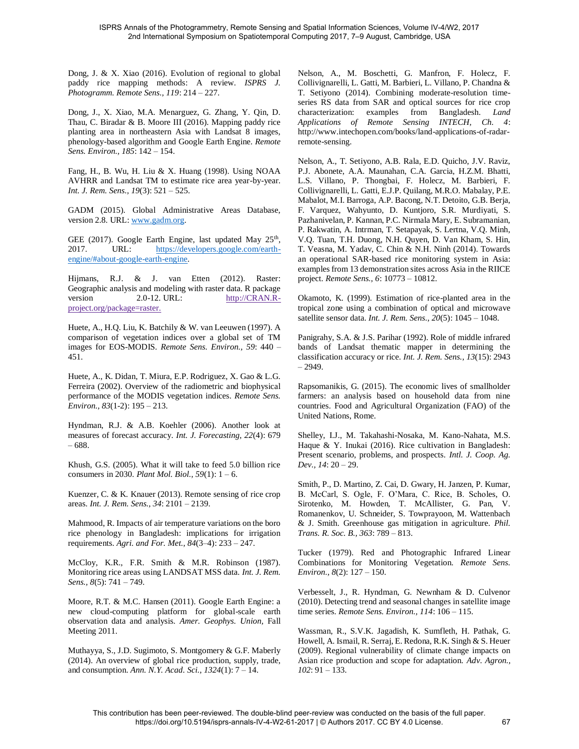Dong, J. & X. Xiao (2016). Evolution of regional to global paddy rice mapping methods: A review. *ISPRS J. Photogramm. Remote Sens., 119*: 214 – 227.

Dong, J., X. Xiao, M.A. Menarguez, G. Zhang, Y. Qin, D. Thau, C. Biradar & B. Moore III (2016). Mapping paddy rice planting area in northeastern Asia with Landsat 8 images, phenology-based algorithm and Google Earth Engine. *Remote Sens. Environ., 185*: 142 – 154.

Fang, H., B. Wu, H. Liu & X. Huang (1998). Using NOAA AVHRR and Landsat TM to estimate rice area year-by-year. *Int. J. Rem. Sens., 19*(3): 521 – 525.

GADM (2015). Global Administrative Areas Database, version 2.8. URL: [www.gadm.org.](file:///C:/Users/amshew/Google%20Drive/Aaron-GFC/ISSC-2017/www.gadm.org)

GEE (2017). Google Earth Engine, last updated May  $25<sup>th</sup>$ , 2017. URL: [https://developers.google.com/earth](https://developers.google.com/earth-engine/%23about-google-earth-engine)[engine/#about-google-earth-engine.](https://developers.google.com/earth-engine/%23about-google-earth-engine)

Hijmans, R.J. & J. van Etten (2012). Raster: Geographic analysis and modeling with raster data. R package version 2.0-12. URL: [http://CRAN.R](http://cran.r-project.org/package=raster)[project.org/package=raster.](http://cran.r-project.org/package=raster)

Huete, A., H.Q. Liu, K. Batchily & W. van Leeuwen (1997). A comparison of vegetation indices over a global set of TM images for EOS-MODIS. *Remote Sens. Environ., 59*: 440 – 451.

Huete, A., K. Didan, T. Miura, E.P. Rodriguez, X. Gao & L.G. Ferreira (2002). Overview of the radiometric and biophysical performance of the MODIS vegetation indices. *Remote Sens. Environ., 83*(1-2): 195 – 213.

Hyndman, R.J. & A.B. Koehler (2006). Another look at measures of forecast accuracy. *Int. J. Forecasting, 22*(4): 679 – 688.

Khush, G.S. (2005). What it will take to feed 5.0 billion rice consumers in 2030. *Plant Mol. Biol., 59*(1): 1 – 6.

Kuenzer, C. & K. Knauer (2013). Remote sensing of rice crop areas. *Int. J. Rem. Sens., 34*: 2101 – 2139.

Mahmood, R. Impacts of air temperature variations on the boro rice phenology in Bangladesh: implications for irrigation requirements. *Agri. and For. Met., 84*(3–4): 233 – 247.

McCloy, K.R., F.R. Smith & M.R. Robinson (1987). Monitoring rice areas using LANDSAT MSS data. *Int. J. Rem. Sens., 8*(5): 741 – 749.

Moore, R.T. & M.C. Hansen (2011). Google Earth Engine: a new cloud-computing platform for global-scale earth observation data and analysis. *Amer. Geophys. Union,* Fall Meeting 2011.

Muthayya, S., J.D. Sugimoto, S. Montgomery & G.F. Maberly (2014). An overview of global rice production, supply, trade, and consumption. *Ann. N.Y. Acad. Sci., 1324*(1): 7 – 14.

Nelson, A., M. Boschetti, G. Manfron, F. Holecz, F. Collivignarelli, L. Gatti, M. Barbieri, L. Villano, P. Chandna & T. Setiyono (2014). Combining moderate-resolution timeseries RS data from SAR and optical sources for rice crop characterization: examples from Bangladesh. *Land Applications of Remote Sensing INTECH, Ch. 4*: http://www.intechopen.com/books/land-applications-of-radarremote-sensing.

Nelson, A., T. Setiyono, A.B. Rala, E.D. Quicho, J.V. Raviz, P.J. Abonete, A.A. Maunahan, C.A. Garcia, H.Z.M. Bhatti, L.S. Villano, P. Thongbai, F. Holecz, M. Barbieri, F. Collivignarelli, L. Gatti, E.J.P. Quilang, M.R.O. Mabalay, P.E. Mabalot, M.I. Barroga, A.P. Bacong, N.T. Detoito, G.B. Berja, F. Varquez, Wahyunto, D. Kuntjoro, S.R. Murdiyati, S. Pazhanivelan, P. Kannan, P.C. Nirmala Mary, E. Subramanian, P. Rakwatin, A. Intrman, T. Setapayak, S. Lertna, V.Q. Minh, V.Q. Tuan, T.H. Duong, N.H. Quyen, D. Van Kham, S. Hin, T. Veasna, M. Yadav, C. Chin & N.H. Ninh (2014). Towards an operational SAR-based rice monitoring system in Asia: examples from 13 demonstration sites across Asia in the RIICE project. *Remote Sens., 6*: 10773 – 10812.

Okamoto, K. (1999). Estimation of rice-planted area in the tropical zone using a combination of optical and microwave satellite sensor data. *Int. J. Rem. Sens., 20*(5): 1045 – 1048.

Panigrahy, S.A. & J.S. Parihar (1992). Role of middle infrared bands of Landsat thematic mapper in determining the classification accuracy or rice. *Int. J. Rem. Sens., 13*(15): 2943 – 2949.

Rapsomanikis, G. (2015). The economic lives of smallholder farmers: an analysis based on household data from nine countries. Food and Agricultural Organization (FAO) of the United Nations, Rome.

Shelley, I.J., M. Takahashi-Nosaka, M. Kano-Nahata, M.S. Haque & Y. Inukai (2016). Rice cultivation in Bangladesh: Present scenario, problems, and prospects. *Intl. J. Coop. Ag. Dev., 14*: 20 – 29.

Smith, P., D. Martino, Z. Cai, D. Gwary, H. Janzen, P. Kumar, B. McCarl, S. Ogle, F. O'Mara, C. Rice, B. Scholes, O. Sirotenko, M. Howden, T. McAllister, G. Pan, V. Romanenkov, U. Schneider, S. Towprayoon, M. Wattenbach & J. Smith. Greenhouse gas mitigation in agriculture. *Phil. Trans. R. Soc. B., 363*: 789 – 813.

Tucker (1979). Red and Photographic Infrared Linear Combinations for Monitoring Vegetation. *Remote Sens. Environ., 8*(2): 127 – 150.

Verbesselt, J., R. Hyndman, G. Newnham & D. Culvenor (2010). Detecting trend and seasonal changes in satellite image time series. *Remote Sens. Environ., 114*: 106 – 115.

Wassman, R., S.V.K. Jagadish, K. Sumfleth, H. Pathak, G. Howell, A. Ismail, R. Serraj, E. Redona, R.K. Singh & S. Heuer (2009). Regional vulnerability of climate change impacts on Asian rice production and scope for adaptation. *Adv. Agron., 102*: 91 – 133.